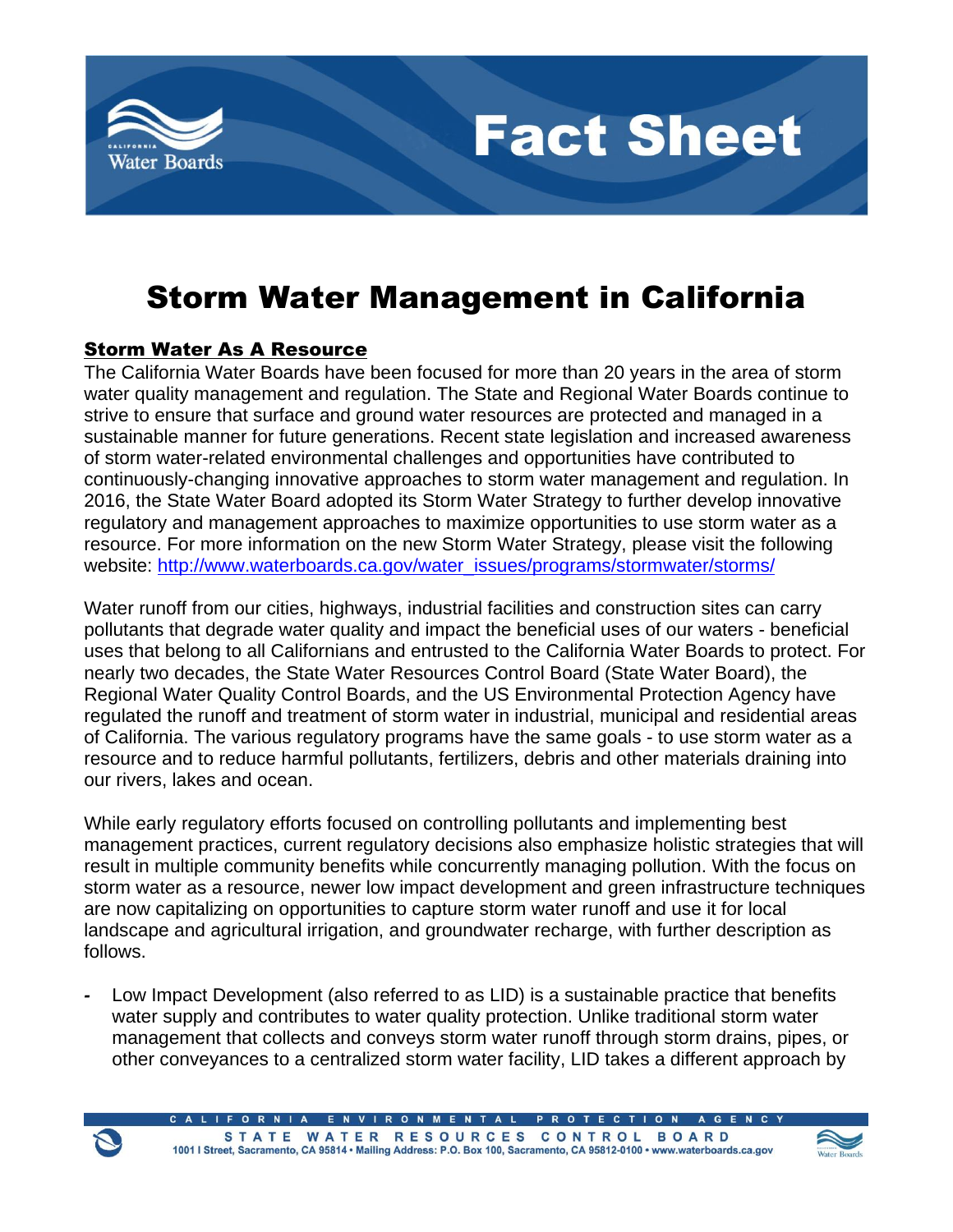

# **Fact Sheet**

## Storm Water Management in California

### Storm Water As A Resource

The California Water Boards have been focused for more than 20 years in the area of storm water quality management and regulation. The State and Regional Water Boards continue to strive to ensure that surface and ground water resources are protected and managed in a sustainable manner for future generations. Recent state legislation and increased awareness of storm water-related environmental challenges and opportunities have contributed to continuously-changing innovative approaches to storm water management and regulation. In 2016, the State Water Board adopted its Storm Water Strategy to further develop innovative regulatory and management approaches to maximize opportunities to use storm water as a resource. For more information on the new Storm Water Strategy, please visit the following website: [http://www.waterboards.ca.gov/water\\_issues/programs/stormwater/storms/](http://www.waterboards.ca.gov/water_issues/programs/stormwater/storms/)

Water runoff from our cities, highways, industrial facilities and construction sites can carry pollutants that degrade water quality and impact the beneficial uses of our waters - beneficial uses that belong to all Californians and entrusted to the California Water Boards to protect. For nearly two decades, the State Water Resources Control Board (State Water Board), the Regional Water Quality Control Boards, and the US Environmental Protection Agency have regulated the runoff and treatment of storm water in industrial, municipal and residential areas of California. The various regulatory programs have the same goals - to use storm water as a resource and to reduce harmful pollutants, fertilizers, debris and other materials draining into our rivers, lakes and ocean.

While early regulatory efforts focused on controlling pollutants and implementing best management practices, current regulatory decisions also emphasize holistic strategies that will result in multiple community benefits while concurrently managing pollution. With the focus on storm water as a resource, newer low impact development and green infrastructure techniques are now capitalizing on opportunities to capture storm water runoff and use it for local landscape and agricultural irrigation, and groundwater recharge, with further description as follows.

*-* Low Impact Development (also referred to as LID) is a sustainable practice that benefits water supply and contributes to water quality protection. Unlike traditional storm water management that collects and conveys storm water runoff through storm drains, pipes, or other conveyances to a centralized storm water facility, LID takes a different approach by



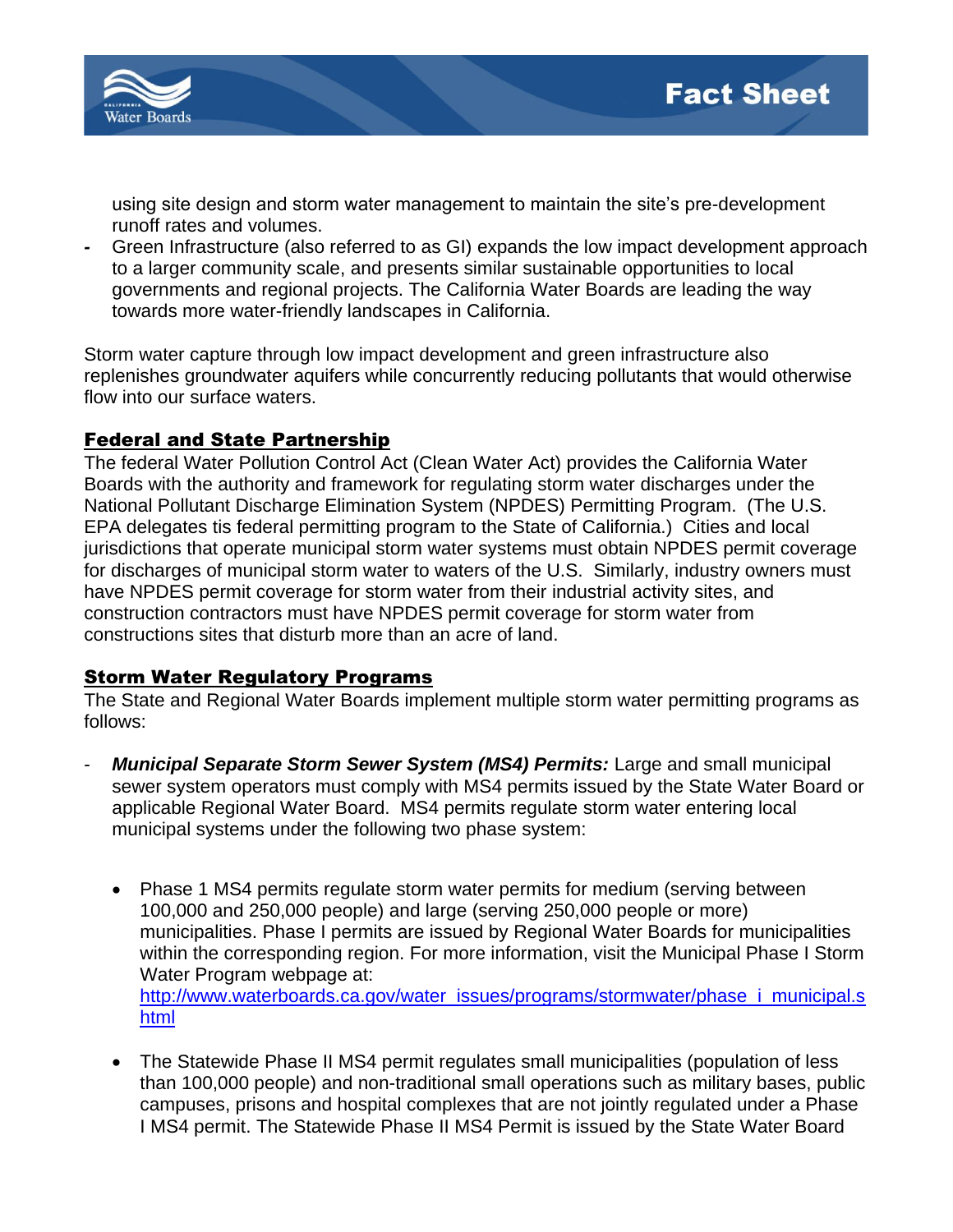

using site design and storm water management to maintain the site's pre-development runoff rates and volumes.

*-* Green Infrastructure (also referred to as GI) expands the low impact development approach to a larger community scale, and presents similar sustainable opportunities to local governments and regional projects. The California Water Boards are leading the way towards more water-friendly landscapes in California.

Storm water capture through low impact development and green infrastructure also replenishes groundwater aquifers while concurrently reducing pollutants that would otherwise flow into our surface waters.

#### Federal and State Partnership

The federal Water Pollution Control Act (Clean Water Act) provides the California Water Boards with the authority and framework for regulating storm water discharges under the National Pollutant Discharge Elimination System (NPDES) Permitting Program. (The U.S. EPA delegates tis federal permitting program to the State of California.) Cities and local jurisdictions that operate municipal storm water systems must obtain NPDES permit coverage for discharges of municipal storm water to waters of the U.S. Similarly, industry owners must have NPDES permit coverage for storm water from their industrial activity sites, and construction contractors must have NPDES permit coverage for storm water from constructions sites that disturb more than an acre of land.

#### Storm Water Regulatory Programs

The State and Regional Water Boards implement multiple storm water permitting programs as follows:

- *Municipal Separate Storm Sewer System (MS4) Permits:* Large and small municipal sewer system operators must comply with MS4 permits issued by the State Water Board or applicable Regional Water Board. MS4 permits regulate storm water entering local municipal systems under the following two phase system:
	- Phase 1 MS4 permits regulate storm water permits for medium (serving between 100,000 and 250,000 people) and large (serving 250,000 people or more) municipalities. Phase I permits are issued by Regional Water Boards for municipalities within the corresponding region. For more information, visit the Municipal Phase I Storm Water Program webpage at: [http://www.waterboards.ca.gov/water\\_issues/programs/stormwater/phase\\_i\\_municipal.s](http://www.waterboards.ca.gov/water_issues/programs/stormwater/phase_i_municipal.shtml) [html](http://www.waterboards.ca.gov/water_issues/programs/stormwater/phase_i_municipal.shtml)
	- The Statewide Phase II MS4 permit regulates small municipalities (population of less than 100,000 people) and non-traditional small operations such as military bases, public campuses, prisons and hospital complexes that are not jointly regulated under a Phase I MS4 permit. The Statewide Phase II MS4 Permit is issued by the State Water Board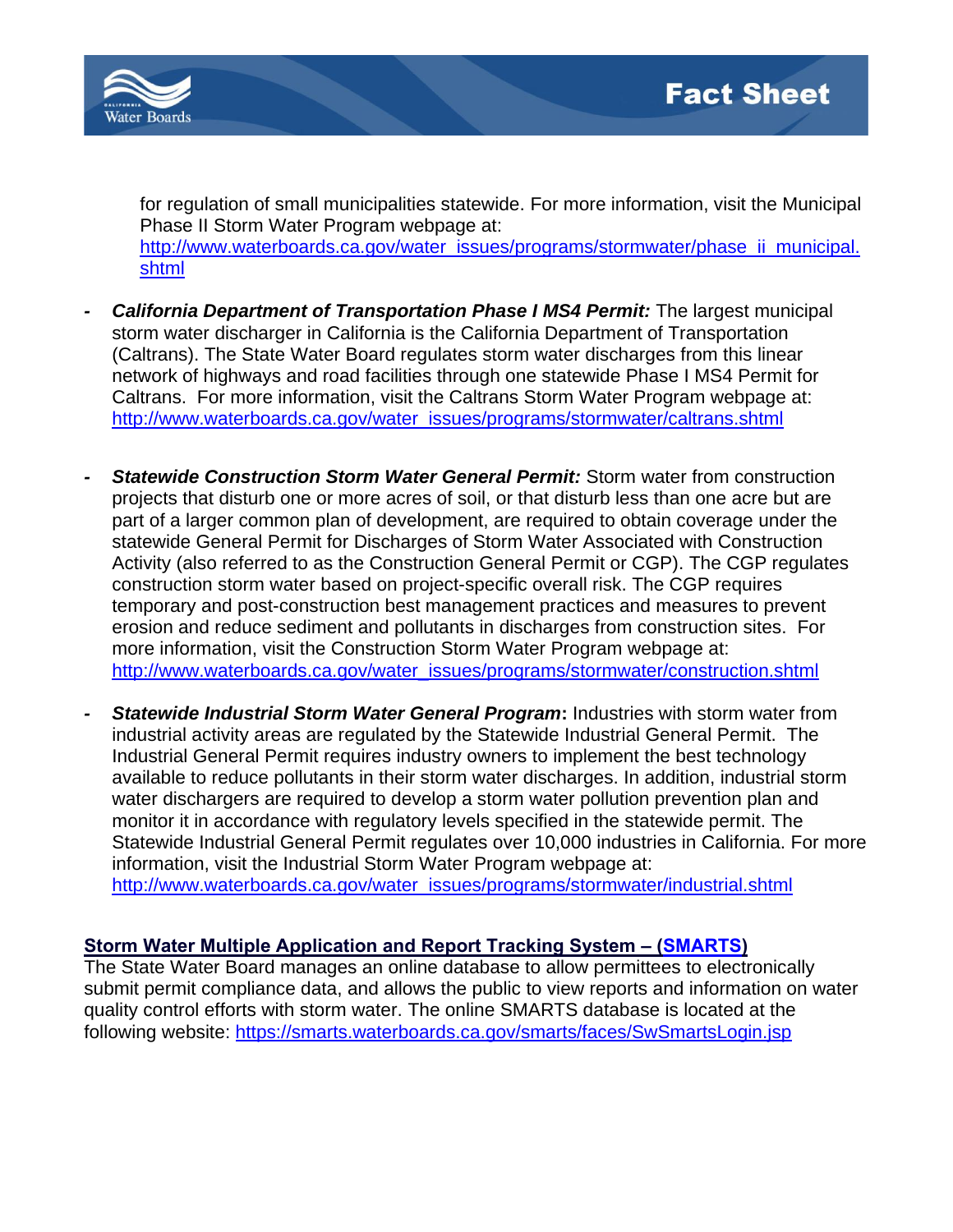

for regulation of small municipalities statewide. For more information, visit the Municipal Phase II Storm Water Program webpage at: [http://www.waterboards.ca.gov/water\\_issues/programs/stormwater/phase\\_ii\\_municipal.](http://www.waterboards.ca.gov/water_issues/programs/stormwater/phase_ii_municipal.shtml) [shtml](http://www.waterboards.ca.gov/water_issues/programs/stormwater/phase_ii_municipal.shtml)

- *California Department of Transportation Phase I MS4 Permit:* **The largest municipal** storm water discharger in California is the California Department of Transportation (Caltrans). The State Water Board regulates storm water discharges from this linear network of highways and road facilities through one statewide Phase I MS4 Permit for Caltrans. For more information, visit the Caltrans Storm Water Program webpage at: [http://www.waterboards.ca.gov/water\\_issues/programs/stormwater/caltrans.shtml](http://www.waterboards.ca.gov/water_issues/programs/stormwater/caltrans.shtml)
- *- Statewide Construction Storm Water General Permit:* Storm water from construction projects that disturb one or more acres of soil, or that disturb less than one acre but are part of a larger common plan of development, are required to obtain coverage under the statewide General Permit for Discharges of Storm Water Associated with Construction Activity (also referred to as the Construction General Permit or CGP). The CGP regulates construction storm water based on project-specific overall risk. The CGP requires temporary and post-construction best management practices and measures to prevent erosion and reduce sediment and pollutants in discharges from construction sites. For more information, visit the Construction Storm Water Program webpage at: [http://www.waterboards.ca.gov/water\\_issues/programs/stormwater/construction.shtml](http://www.waterboards.ca.gov/water_issues/programs/stormwater/construction.shtml)
- **Statewide Industrial Storm Water General Program:** Industries with storm water from industrial activity areas are regulated by the Statewide Industrial General Permit. The Industrial General Permit requires industry owners to implement the best technology available to reduce pollutants in their storm water discharges. In addition, industrial storm water dischargers are required to develop a storm water pollution prevention plan and monitor it in accordance with regulatory levels specified in the statewide permit. The Statewide Industrial General Permit regulates over 10,000 industries in California. For more information, visit the Industrial Storm Water Program webpage at: [http://www.waterboards.ca.gov/water\\_issues/programs/stormwater/industrial.shtml](http://www.waterboards.ca.gov/water_issues/programs/stormwater/industrial.shtml)

#### **Storm Water Multiple Application and Report Tracking System – (SMARTS)**

The State Water Board manages an online database to allow permittees to electronically submit permit compliance data, and allows the public to view reports and information on water quality control efforts with storm water. The online SMARTS database is located at the following website: <https://smarts.waterboards.ca.gov/smarts/faces/SwSmartsLogin.jsp>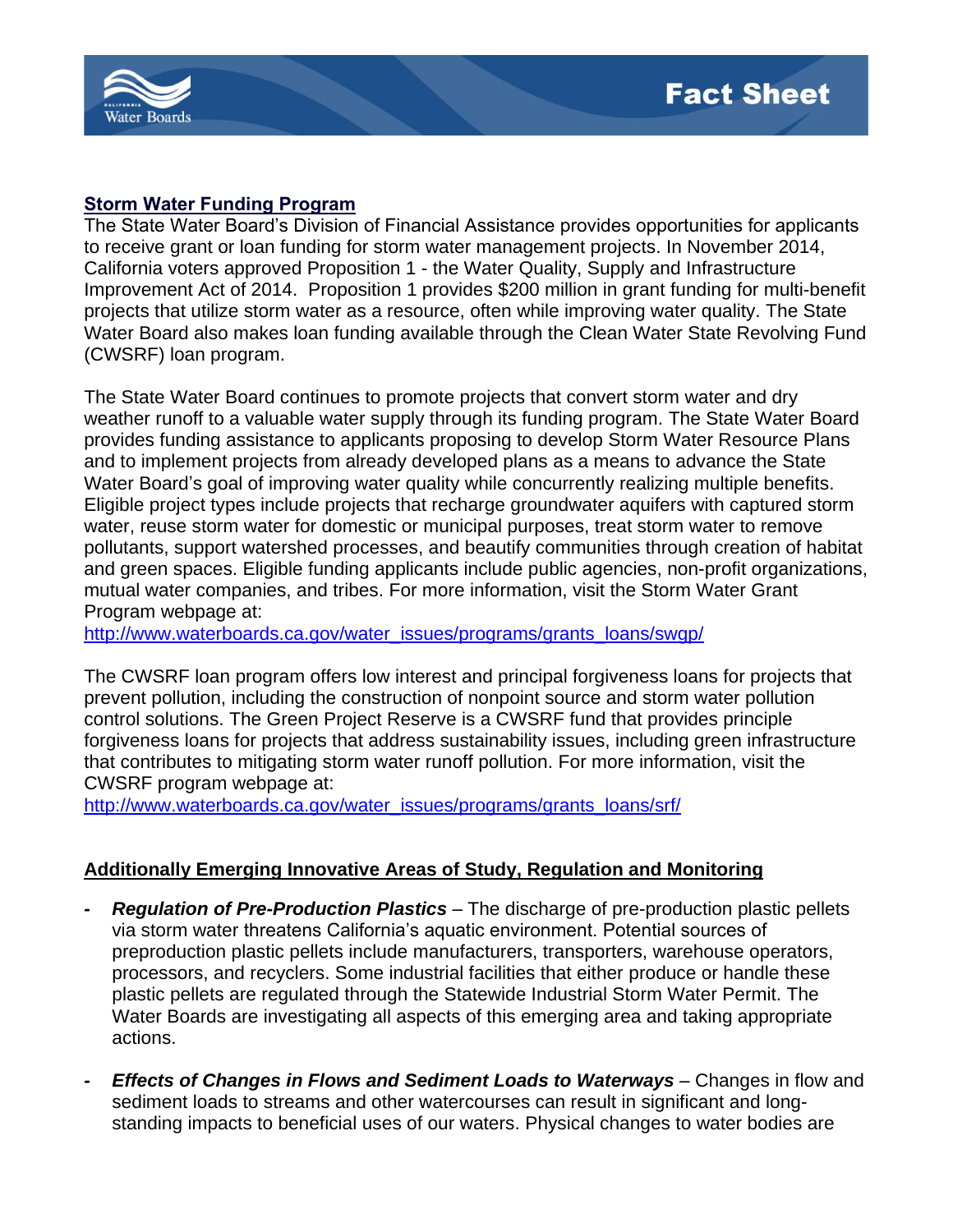

#### **Storm Water Funding Program**

The State Water Board's Division of Financial Assistance provides opportunities for applicants to receive grant or loan funding for storm water management projects. In November 2014, California voters approved Proposition 1 - the Water Quality, Supply and Infrastructure Improvement Act of 2014. Proposition 1 provides \$200 million in grant funding for multi-benefit projects that utilize storm water as a resource, often while improving water quality. The State Water Board also makes loan funding available through the Clean Water State Revolving Fund (CWSRF) loan program.

The State Water Board continues to promote projects that convert storm water and dry weather runoff to a valuable water supply through its funding program. The State Water Board provides funding assistance to applicants proposing to develop Storm Water Resource Plans and to implement projects from already developed plans as a means to advance the State Water Board's goal of improving water quality while concurrently realizing multiple benefits. Eligible project types include projects that recharge groundwater aquifers with captured storm water, reuse storm water for domestic or municipal purposes, treat storm water to remove pollutants, support watershed processes, and beautify communities through creation of habitat and green spaces. Eligible funding applicants include public agencies, non-profit organizations, mutual water companies, and tribes. For more information, visit the Storm Water Grant Program webpage at:

[http://www.waterboards.ca.gov/water\\_issues/programs/grants\\_loans/swgp/](http://www.waterboards.ca.gov/water_issues/programs/grants_loans/swgp/)

The CWSRF loan program offers low interest and principal forgiveness loans for projects that prevent pollution, including the construction of nonpoint source and storm water pollution control solutions. The Green Project Reserve is a CWSRF fund that provides principle forgiveness loans for projects that address sustainability issues, including green infrastructure that contributes to mitigating storm water runoff pollution. For more information, visit the CWSRF program webpage at:

[http://www.waterboards.ca.gov/water\\_issues/programs/grants\\_loans/srf/](http://www.waterboards.ca.gov/water_issues/programs/grants_loans/srf/)

#### **Additionally Emerging Innovative Areas of Study, Regulation and Monitoring**

- *- Regulation of Pre-Production Plastics* The discharge of pre-production plastic pellets via storm water threatens California's aquatic environment. Potential sources of preproduction plastic pellets include manufacturers, transporters, warehouse operators, processors, and recyclers. Some industrial facilities that either produce or handle these plastic pellets are regulated through the Statewide Industrial Storm Water Permit. The Water Boards are investigating all aspects of this emerging area and taking appropriate actions.
- *Effects of Changes in Flows and Sediment Loads to Waterways Changes in flow and* sediment loads to streams and other watercourses can result in significant and longstanding impacts to beneficial uses of our waters. Physical changes to water bodies are